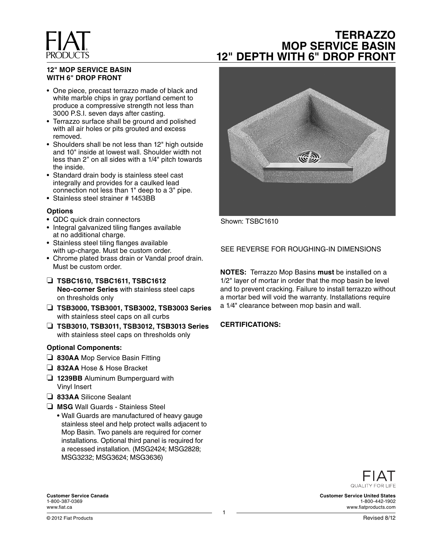## **TERRAZZO MOP SERVICE BASIN 12" DEPTH WITH 6" DROP FRONT**

#### **12" MOP SERVICE BASIN WITH 6" DROP FRONT**

- One piece, precast terrazzo made of black and white marble chips in gray portland cement to produce a compressive strength not less than 3000 P.S.I. seven days after casting.
- Terrazzo surface shall be ground and polished with all air holes or pits grouted and excess removed.
- Shoulders shall be not less than 12" high outside and 10" inside at lowest wall. Shoulder width not less than 2" on all sides with a 1/4" pitch towards the inside.
- Standard drain body is stainless steel cast integrally and provides for a caulked lead connection not less than 1" deep to a 3" pipe.
- Stainless steel strainer # 1453BB

#### **Options**

- QDC quick drain connectors
- Integral galvanized tiling flanges available at no additional charge.
- Stainless steel tiling flanges available with up-charge. Must be custom order.
- Chrome plated brass drain or Vandal proof drain. Must be custom order.
- ❏ **TSBC1610, TSBC1611, TSBC1612 Neo-corner Series** with stainless steel caps on thresholds only
- ❏ **TSB3000, TSB3001, TSB3002, TSB3003 Series**  with stainless steel caps on all curbs
- ❏ **TSB3010, TSB3011, TSB3012, TSB3013 Series**  with stainless steel caps on thresholds only

#### **Optional Components:**

- ❏ **830AA** Mop Service Basin Fitting
- ❏ **832AA** Hose & Hose Bracket
- ❏ **1239BB** Aluminum Bumperguard with Vinyl Insert
- ❏ **833AA** Silicone Sealant
- ❏ **MSG** Wall Guards Stainless Steel
	- Wall Guards are manufactured of heavy gauge stainless steel and help protect walls adjacent to Mop Basin. Two panels are required for corner installations. Optional third panel is required for a recessed installation. (MSG2424; MSG2828; MSG3232; MSG3624; MSG3636)



Shown: TSBC1610

SEE REVERSE FOR ROUGHING-IN DIMENSIONS

**NOTES:** Terrazzo Mop Basins **must** be installed on a 1/2" layer of mortar in order that the mop basin be level and to prevent cracking. Failure to install terrazzo without a mortar bed will void the warranty. Installations require a 1⁄4" clearance between mop basin and wall.

#### **CERTIFICATIONS:**



**Customer Service United States** 1-800-442-1902 www.fiatproducts.com